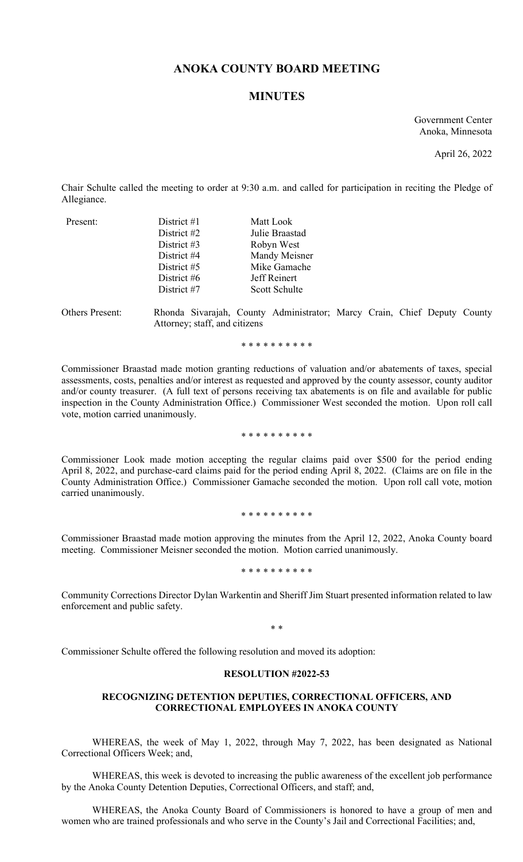# **ANOKA COUNTY BOARD MEETING**

## **MINUTES**

Government Center Anoka, Minnesota

April 26, 2022

Chair Schulte called the meeting to order at 9:30 a.m. and called for participation in reciting the Pledge of Allegiance.

| Present: | District $#1$ | Matt Look      |
|----------|---------------|----------------|
|          | District #2   | Julie Braastad |
|          | District $#3$ | Robyn West     |
|          | District #4   | Mandy Meisner  |
|          | District #5   | Mike Gamache   |
|          | District #6   | Jeff Reinert   |
|          | District #7   | Scott Schulte  |
|          |               |                |

Others Present: Rhonda Sivarajah, County Administrator; Marcy Crain, Chief Deputy County Attorney; staff, and citizens

\* \* \* \* \* \* \* \* \* \*

Commissioner Braastad made motion granting reductions of valuation and/or abatements of taxes, special assessments, costs, penalties and/or interest as requested and approved by the county assessor, county auditor and/or county treasurer. (A full text of persons receiving tax abatements is on file and available for public inspection in the County Administration Office.) Commissioner West seconded the motion. Upon roll call vote, motion carried unanimously.

\* \* \* \* \* \* \* \* \* \*

Commissioner Look made motion accepting the regular claims paid over \$500 for the period ending April 8, 2022, and purchase-card claims paid for the period ending April 8, 2022. (Claims are on file in the County Administration Office.) Commissioner Gamache seconded the motion. Upon roll call vote, motion carried unanimously.

\* \* \* \* \* \* \* \* \* \*

Commissioner Braastad made motion approving the minutes from the April 12, 2022, Anoka County board meeting. Commissioner Meisner seconded the motion. Motion carried unanimously.

\* \* \* \* \* \* \* \* \* \*

Community Corrections Director Dylan Warkentin and Sheriff Jim Stuart presented information related to law enforcement and public safety.

\* \*

Commissioner Schulte offered the following resolution and moved its adoption:

#### **RESOLUTION #2022-53**

### **RECOGNIZING DETENTION DEPUTIES, CORRECTIONAL OFFICERS, AND CORRECTIONAL EMPLOYEES IN ANOKA COUNTY**

WHEREAS, the week of May 1, 2022, through May 7, 2022, has been designated as National Correctional Officers Week; and,

WHEREAS, this week is devoted to increasing the public awareness of the excellent job performance by the Anoka County Detention Deputies, Correctional Officers, and staff; and,

WHEREAS, the Anoka County Board of Commissioners is honored to have a group of men and women who are trained professionals and who serve in the County's Jail and Correctional Facilities; and,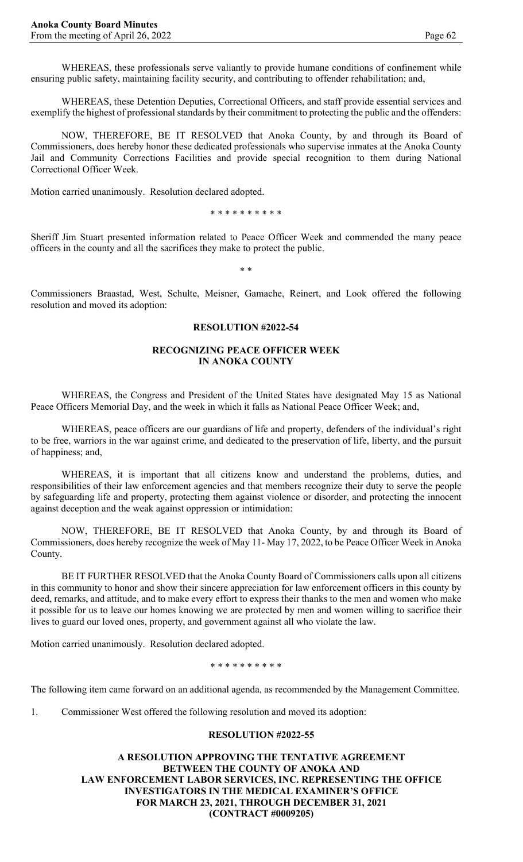WHEREAS, these professionals serve valiantly to provide humane conditions of confinement while ensuring public safety, maintaining facility security, and contributing to offender rehabilitation; and,

WHEREAS, these Detention Deputies, Correctional Officers, and staff provide essential services and exemplify the highest of professional standards by their commitment to protecting the public and the offenders:

NOW, THEREFORE, BE IT RESOLVED that Anoka County, by and through its Board of Commissioners, does hereby honor these dedicated professionals who supervise inmates at the Anoka County Jail and Community Corrections Facilities and provide special recognition to them during National Correctional Officer Week.

Motion carried unanimously. Resolution declared adopted.

\* \* \* \* \* \* \* \* \* \*

Sheriff Jim Stuart presented information related to Peace Officer Week and commended the many peace officers in the county and all the sacrifices they make to protect the public.

\* \*

Commissioners Braastad, West, Schulte, Meisner, Gamache, Reinert, and Look offered the following resolution and moved its adoption:

#### **RESOLUTION #2022-54**

#### **RECOGNIZING PEACE OFFICER WEEK IN ANOKA COUNTY**

WHEREAS, the Congress and President of the United States have designated May 15 as National Peace Officers Memorial Day, and the week in which it falls as National Peace Officer Week; and,

WHEREAS, peace officers are our guardians of life and property, defenders of the individual's right to be free, warriors in the war against crime, and dedicated to the preservation of life, liberty, and the pursuit of happiness; and,

WHEREAS, it is important that all citizens know and understand the problems, duties, and responsibilities of their law enforcement agencies and that members recognize their duty to serve the people by safeguarding life and property, protecting them against violence or disorder, and protecting the innocent against deception and the weak against oppression or intimidation:

NOW, THEREFORE, BE IT RESOLVED that Anoka County, by and through its Board of Commissioners, does hereby recognize the week of May 11- May 17, 2022, to be Peace Officer Week in Anoka County.

BE IT FURTHER RESOLVED that the Anoka County Board of Commissioners calls upon all citizens in this community to honor and show their sincere appreciation for law enforcement officers in this county by deed, remarks, and attitude, and to make every effort to express their thanks to the men and women who make it possible for us to leave our homes knowing we are protected by men and women willing to sacrifice their lives to guard our loved ones, property, and government against all who violate the law.

Motion carried unanimously. Resolution declared adopted.

\* \* \* \* \* \* \* \* \* \*

The following item came forward on an additional agenda, as recommended by the Management Committee.

1. Commissioner West offered the following resolution and moved its adoption:

#### **RESOLUTION #2022-55**

**A RESOLUTION APPROVING THE TENTATIVE AGREEMENT BETWEEN THE COUNTY OF ANOKA AND LAW ENFORCEMENT LABOR SERVICES, INC. REPRESENTING THE OFFICE INVESTIGATORS IN THE MEDICAL EXAMINER'S OFFICE FOR MARCH 23, 2021, THROUGH DECEMBER 31, 2021 (CONTRACT #0009205)**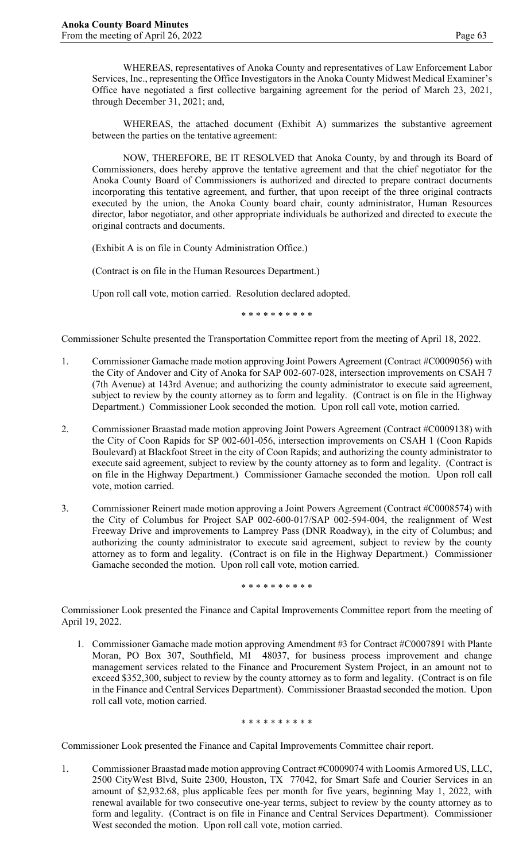WHEREAS, representatives of Anoka County and representatives of Law Enforcement Labor Services, Inc., representing the Office Investigators in the Anoka County Midwest Medical Examiner's Office have negotiated a first collective bargaining agreement for the period of March 23, 2021, through December 31, 2021; and,

WHEREAS, the attached document (Exhibit A) summarizes the substantive agreement between the parties on the tentative agreement:

NOW, THEREFORE, BE IT RESOLVED that Anoka County, by and through its Board of Commissioners, does hereby approve the tentative agreement and that the chief negotiator for the Anoka County Board of Commissioners is authorized and directed to prepare contract documents incorporating this tentative agreement, and further, that upon receipt of the three original contracts executed by the union, the Anoka County board chair, county administrator, Human Resources director, labor negotiator, and other appropriate individuals be authorized and directed to execute the original contracts and documents.

(Exhibit A is on file in County Administration Office.)

(Contract is on file in the Human Resources Department.)

Upon roll call vote, motion carried. Resolution declared adopted.

\* \* \* \* \* \* \* \* \* \*

Commissioner Schulte presented the Transportation Committee report from the meeting of April 18, 2022.

- 1. Commissioner Gamache made motion approving Joint Powers Agreement (Contract #C0009056) with the City of Andover and City of Anoka for SAP 002-607-028, intersection improvements on CSAH 7 (7th Avenue) at 143rd Avenue; and authorizing the county administrator to execute said agreement, subject to review by the county attorney as to form and legality. (Contract is on file in the Highway Department.) Commissioner Look seconded the motion. Upon roll call vote, motion carried.
- 2. Commissioner Braastad made motion approving Joint Powers Agreement (Contract #C0009138) with the City of Coon Rapids for SP 002-601-056, intersection improvements on CSAH 1 (Coon Rapids Boulevard) at Blackfoot Street in the city of Coon Rapids; and authorizing the county administrator to execute said agreement, subject to review by the county attorney as to form and legality. (Contract is on file in the Highway Department.) Commissioner Gamache seconded the motion. Upon roll call vote, motion carried.
- 3. Commissioner Reinert made motion approving a Joint Powers Agreement (Contract #C0008574) with the City of Columbus for Project SAP 002-600-017/SAP 002-594-004, the realignment of West Freeway Drive and improvements to Lamprey Pass (DNR Roadway), in the city of Columbus; and authorizing the county administrator to execute said agreement, subject to review by the county attorney as to form and legality. (Contract is on file in the Highway Department.) Commissioner Gamache seconded the motion. Upon roll call vote, motion carried.

\* \* \* \* \* \* \* \* \* \*

Commissioner Look presented the Finance and Capital Improvements Committee report from the meeting of April 19, 2022.

1. Commissioner Gamache made motion approving Amendment #3 for Contract #C0007891 with Plante Moran, PO Box 307, Southfield, MI 48037, for business process improvement and change management services related to the Finance and Procurement System Project, in an amount not to exceed \$352,300, subject to review by the county attorney as to form and legality. (Contract is on file in the Finance and Central Services Department). Commissioner Braastad seconded the motion. Upon roll call vote, motion carried.

\* \* \* \* \* \* \* \* \* \*

Commissioner Look presented the Finance and Capital Improvements Committee chair report.

1. Commissioner Braastad made motion approving Contract #C0009074 with Loomis Armored US, LLC, 2500 CityWest Blvd, Suite 2300, Houston, TX 77042, for Smart Safe and Courier Services in an amount of \$2,932.68, plus applicable fees per month for five years, beginning May 1, 2022, with renewal available for two consecutive one-year terms, subject to review by the county attorney as to form and legality. (Contract is on file in Finance and Central Services Department). Commissioner West seconded the motion. Upon roll call vote, motion carried.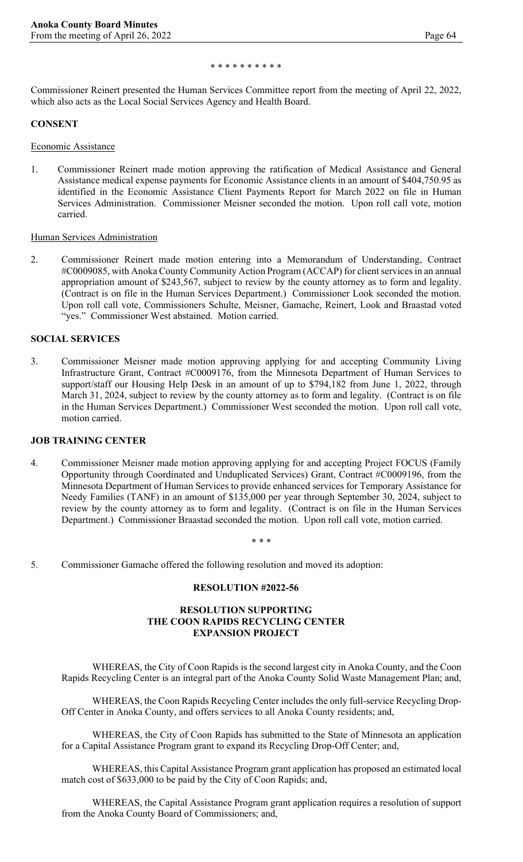#### \* \* \* \* \* \* \* \* \* \*

Commissioner Reinert presented the Human Services Committee report from the meeting of April 22, 2022, which also acts as the Local Social Services Agency and Health Board.

#### **CONSENT**

Economic Assistance

1. Commissioner Reinert made motion approving the ratification of Medical Assistance and General Assistance medical expense payments for Economic Assistance clients in an amount of \$404,750.95 as identified in the Economic Assistance Client Payments Report for March 2022 on file in Human Services Administration. Commissioner Meisner seconded the motion. Upon roll call vote, motion carried.

### Human Services Administration

2. Commissioner Reinert made motion entering into a Memorandum of Understanding, Contract #C0009085, with Anoka County Community Action Program (ACCAP) for client services in an annual appropriation amount of \$243,567, subject to review by the county attorney as to form and legality. (Contract is on file in the Human Services Department.) Commissioner Look seconded the motion. Upon roll call vote, Commissioners Schulte, Meisner, Gamache, Reinert, Look and Braastad voted "yes." Commissioner West abstained. Motion carried.

### **SOCIAL SERVICES**

3. Commissioner Meisner made motion approving applying for and accepting Community Living Infrastructure Grant, Contract #C0009176, from the Minnesota Department of Human Services to support/staff our Housing Help Desk in an amount of up to \$794,182 from June 1, 2022, through March 31, 2024, subject to review by the county attorney as to form and legality. (Contract is on file in the Human Services Department.) Commissioner West seconded the motion. Upon roll call vote, motion carried.

#### **JOB TRAINING CENTER**

4. Commissioner Meisner made motion approving applying for and accepting Project FOCUS (Family Opportunity through Coordinated and Unduplicated Services) Grant, Contract #C0009196, from the Minnesota Department of Human Services to provide enhanced services for Temporary Assistance for Needy Families (TANF) in an amount of \$135,000 per year through September 30, 2024, subject to review by the county attorney as to form and legality. (Contract is on file in the Human Services Department.) Commissioner Braastad seconded the motion. Upon roll call vote, motion carried.

\* \* \*

5. Commissioner Gamache offered the following resolution and moved its adoption:

#### **RESOLUTION #2022-56**

#### **RESOLUTION SUPPORTING THE COON RAPIDS RECYCLING CENTER EXPANSION PROJECT**

WHEREAS, the City of Coon Rapids is the second largest city in Anoka County, and the Coon Rapids Recycling Center is an integral part of the Anoka County Solid Waste Management Plan; and,

WHEREAS, the Coon Rapids Recycling Center includes the only full-service Recycling Drop-Off Center in Anoka County, and offers services to all Anoka County residents; and,

WHEREAS, the City of Coon Rapids has submitted to the State of Minnesota an application for a Capital Assistance Program grant to expand its Recycling Drop-Off Center; and,

WHEREAS, this Capital Assistance Program grant application has proposed an estimated local match cost of \$633,000 to be paid by the City of Coon Rapids; and,

WHEREAS, the Capital Assistance Program grant application requires a resolution of support from the Anoka County Board of Commissioners; and,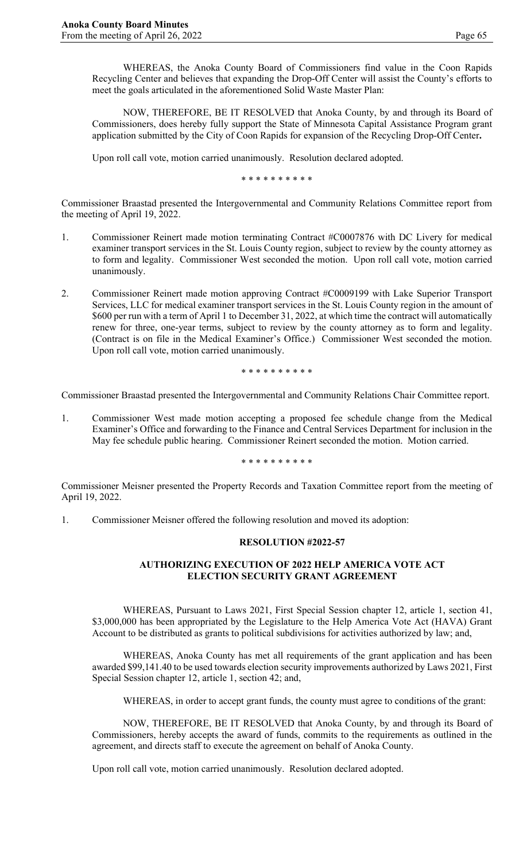WHEREAS, the Anoka County Board of Commissioners find value in the Coon Rapids Recycling Center and believes that expanding the Drop-Off Center will assist the County's efforts to meet the goals articulated in the aforementioned Solid Waste Master Plan:

NOW, THEREFORE, BE IT RESOLVED that Anoka County, by and through its Board of Commissioners, does hereby fully support the State of Minnesota Capital Assistance Program grant application submitted by the City of Coon Rapids for expansion of the Recycling Drop-Off Center**.**

Upon roll call vote, motion carried unanimously. Resolution declared adopted.

\* \* \* \* \* \* \* \* \* \*

Commissioner Braastad presented the Intergovernmental and Community Relations Committee report from the meeting of April 19, 2022.

- 1. Commissioner Reinert made motion terminating Contract #C0007876 with DC Livery for medical examiner transport services in the St. Louis County region, subject to review by the county attorney as to form and legality. Commissioner West seconded the motion. Upon roll call vote, motion carried unanimously.
- 2. Commissioner Reinert made motion approving Contract #C0009199 with Lake Superior Transport Services, LLC for medical examiner transport services in the St. Louis County region in the amount of \$600 per run with a term of April 1 to December 31, 2022, at which time the contract will automatically renew for three, one-year terms, subject to review by the county attorney as to form and legality. (Contract is on file in the Medical Examiner's Office.) Commissioner West seconded the motion. Upon roll call vote, motion carried unanimously.

\* \* \* \* \* \* \* \* \* \*

Commissioner Braastad presented the Intergovernmental and Community Relations Chair Committee report.

1. Commissioner West made motion accepting a proposed fee schedule change from the Medical Examiner's Office and forwarding to the Finance and Central Services Department for inclusion in the May fee schedule public hearing. Commissioner Reinert seconded the motion. Motion carried.

\* \* \* \* \* \* \* \* \* \*

Commissioner Meisner presented the Property Records and Taxation Committee report from the meeting of April 19, 2022.

1. Commissioner Meisner offered the following resolution and moved its adoption:

#### **RESOLUTION #2022-57**

# **AUTHORIZING EXECUTION OF 2022 HELP AMERICA VOTE ACT ELECTION SECURITY GRANT AGREEMENT**

WHEREAS, Pursuant to Laws 2021, First Special Session chapter 12, article 1, section 41, \$3,000,000 has been appropriated by the Legislature to the Help America Vote Act (HAVA) Grant Account to be distributed as grants to political subdivisions for activities authorized by law; and,

WHEREAS, Anoka County has met all requirements of the grant application and has been awarded \$99,141.40 to be used towards election security improvements authorized by Laws 2021, First Special Session chapter 12, article 1, section 42; and,

WHEREAS, in order to accept grant funds, the county must agree to conditions of the grant:

NOW, THEREFORE, BE IT RESOLVED that Anoka County, by and through its Board of Commissioners, hereby accepts the award of funds, commits to the requirements as outlined in the agreement, and directs staff to execute the agreement on behalf of Anoka County.

Upon roll call vote, motion carried unanimously. Resolution declared adopted.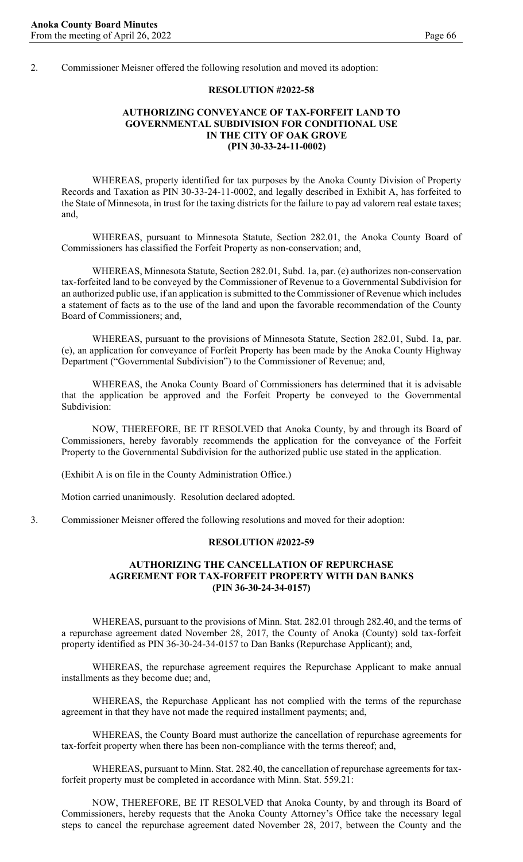2. Commissioner Meisner offered the following resolution and moved its adoption:

#### **RESOLUTION #2022-58**

## **AUTHORIZING CONVEYANCE OF TAX-FORFEIT LAND TO GOVERNMENTAL SUBDIVISION FOR CONDITIONAL USE IN THE CITY OF OAK GROVE (PIN 30-33-24-11-0002)**

WHEREAS, property identified for tax purposes by the Anoka County Division of Property Records and Taxation as PIN 30-33-24-11-0002, and legally described in Exhibit A, has forfeited to the State of Minnesota, in trust for the taxing districts for the failure to pay ad valorem real estate taxes; and,

WHEREAS, pursuant to Minnesota Statute, Section 282.01, the Anoka County Board of Commissioners has classified the Forfeit Property as non-conservation; and,

WHEREAS, Minnesota Statute, Section 282.01, Subd. 1a, par. (e) authorizes non-conservation tax-forfeited land to be conveyed by the Commissioner of Revenue to a Governmental Subdivision for an authorized public use, if an application is submitted to the Commissioner of Revenue which includes a statement of facts as to the use of the land and upon the favorable recommendation of the County Board of Commissioners; and,

WHEREAS, pursuant to the provisions of Minnesota Statute, Section 282.01, Subd. 1a, par. (e), an application for conveyance of Forfeit Property has been made by the Anoka County Highway Department ("Governmental Subdivision") to the Commissioner of Revenue; and,

WHEREAS, the Anoka County Board of Commissioners has determined that it is advisable that the application be approved and the Forfeit Property be conveyed to the Governmental Subdivision:

NOW, THEREFORE, BE IT RESOLVED that Anoka County, by and through its Board of Commissioners, hereby favorably recommends the application for the conveyance of the Forfeit Property to the Governmental Subdivision for the authorized public use stated in the application.

(Exhibit A is on file in the County Administration Office.)

Motion carried unanimously. Resolution declared adopted.

3. Commissioner Meisner offered the following resolutions and moved for their adoption:

### **RESOLUTION #2022-59**

### **AUTHORIZING THE CANCELLATION OF REPURCHASE AGREEMENT FOR TAX-FORFEIT PROPERTY WITH DAN BANKS (PIN 36-30-24-34-0157)**

WHEREAS, pursuant to the provisions of Minn. Stat. 282.01 through 282.40, and the terms of a repurchase agreement dated November 28, 2017, the County of Anoka (County) sold tax-forfeit property identified as PIN 36-30-24-34-0157 to Dan Banks (Repurchase Applicant); and,

WHEREAS, the repurchase agreement requires the Repurchase Applicant to make annual installments as they become due; and,

WHEREAS, the Repurchase Applicant has not complied with the terms of the repurchase agreement in that they have not made the required installment payments; and,

WHEREAS, the County Board must authorize the cancellation of repurchase agreements for tax-forfeit property when there has been non-compliance with the terms thereof; and,

WHEREAS, pursuant to Minn. Stat. 282.40, the cancellation of repurchase agreements for taxforfeit property must be completed in accordance with Minn. Stat. 559.21:

NOW, THEREFORE, BE IT RESOLVED that Anoka County, by and through its Board of Commissioners, hereby requests that the Anoka County Attorney's Office take the necessary legal steps to cancel the repurchase agreement dated November 28, 2017, between the County and the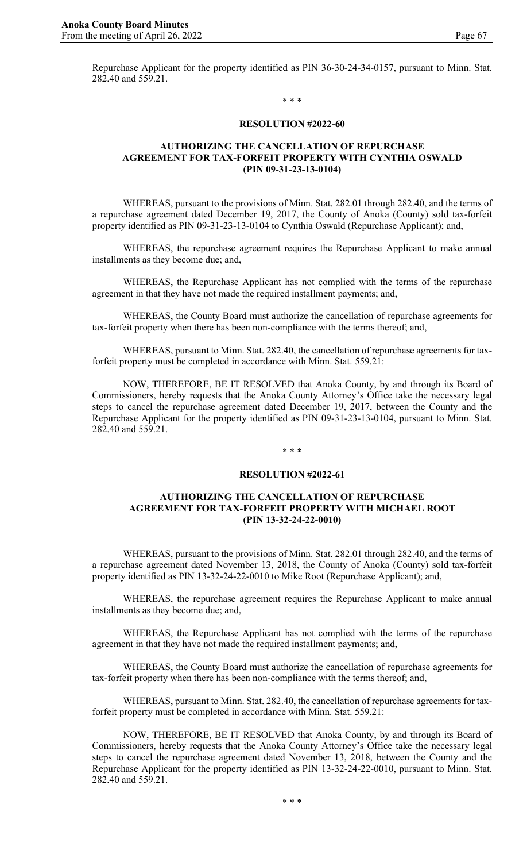Repurchase Applicant for the property identified as PIN 36-30-24-34-0157, pursuant to Minn. Stat. 282.40 and 559.21.

#### \* \* \*

#### **RESOLUTION #2022-60**

### **AUTHORIZING THE CANCELLATION OF REPURCHASE AGREEMENT FOR TAX-FORFEIT PROPERTY WITH CYNTHIA OSWALD (PIN 09-31-23-13-0104)**

WHEREAS, pursuant to the provisions of Minn. Stat. 282.01 through 282.40, and the terms of a repurchase agreement dated December 19, 2017, the County of Anoka (County) sold tax-forfeit property identified as PIN 09-31-23-13-0104 to Cynthia Oswald (Repurchase Applicant); and,

WHEREAS, the repurchase agreement requires the Repurchase Applicant to make annual installments as they become due; and,

WHEREAS, the Repurchase Applicant has not complied with the terms of the repurchase agreement in that they have not made the required installment payments; and,

WHEREAS, the County Board must authorize the cancellation of repurchase agreements for tax-forfeit property when there has been non-compliance with the terms thereof; and,

WHEREAS, pursuant to Minn. Stat. 282.40, the cancellation of repurchase agreements for taxforfeit property must be completed in accordance with Minn. Stat. 559.21:

NOW, THEREFORE, BE IT RESOLVED that Anoka County, by and through its Board of Commissioners, hereby requests that the Anoka County Attorney's Office take the necessary legal steps to cancel the repurchase agreement dated December 19, 2017, between the County and the Repurchase Applicant for the property identified as PIN 09-31-23-13-0104, pursuant to Minn. Stat. 282.40 and 559.21.

#### \* \* \*

### **RESOLUTION #2022-61**

### **AUTHORIZING THE CANCELLATION OF REPURCHASE AGREEMENT FOR TAX-FORFEIT PROPERTY WITH MICHAEL ROOT (PIN 13-32-24-22-0010)**

WHEREAS, pursuant to the provisions of Minn. Stat. 282.01 through 282.40, and the terms of a repurchase agreement dated November 13, 2018, the County of Anoka (County) sold tax-forfeit property identified as PIN 13-32-24-22-0010 to Mike Root (Repurchase Applicant); and,

WHEREAS, the repurchase agreement requires the Repurchase Applicant to make annual installments as they become due; and,

WHEREAS, the Repurchase Applicant has not complied with the terms of the repurchase agreement in that they have not made the required installment payments; and,

WHEREAS, the County Board must authorize the cancellation of repurchase agreements for tax-forfeit property when there has been non-compliance with the terms thereof; and,

WHEREAS, pursuant to Minn. Stat. 282.40, the cancellation of repurchase agreements for taxforfeit property must be completed in accordance with Minn. Stat. 559.21:

NOW, THEREFORE, BE IT RESOLVED that Anoka County, by and through its Board of Commissioners, hereby requests that the Anoka County Attorney's Office take the necessary legal steps to cancel the repurchase agreement dated November 13, 2018, between the County and the Repurchase Applicant for the property identified as PIN 13-32-24-22-0010, pursuant to Minn. Stat. 282.40 and 559.21.

\* \* \*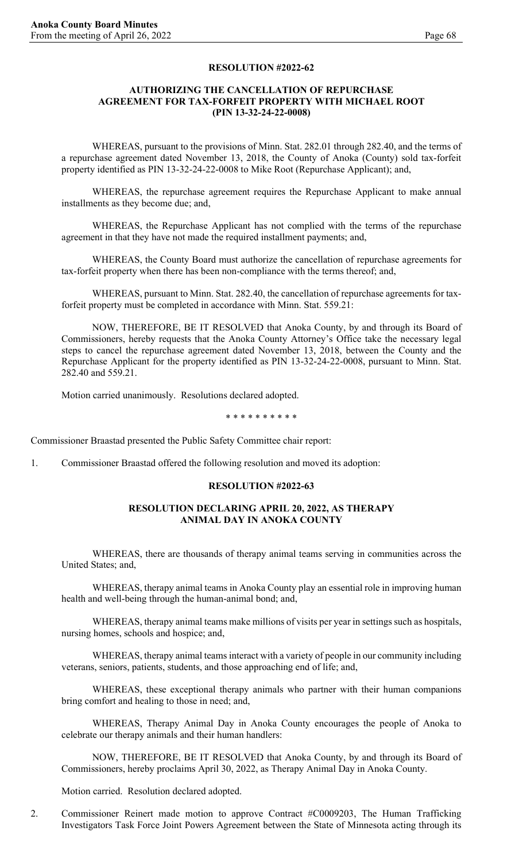#### **RESOLUTION #2022-62**

### **AUTHORIZING THE CANCELLATION OF REPURCHASE AGREEMENT FOR TAX-FORFEIT PROPERTY WITH MICHAEL ROOT (PIN 13-32-24-22-0008)**

WHEREAS, pursuant to the provisions of Minn. Stat. 282.01 through 282.40, and the terms of a repurchase agreement dated November 13, 2018, the County of Anoka (County) sold tax-forfeit property identified as PIN 13-32-24-22-0008 to Mike Root (Repurchase Applicant); and,

WHEREAS, the repurchase agreement requires the Repurchase Applicant to make annual installments as they become due; and,

WHEREAS, the Repurchase Applicant has not complied with the terms of the repurchase agreement in that they have not made the required installment payments; and,

WHEREAS, the County Board must authorize the cancellation of repurchase agreements for tax-forfeit property when there has been non-compliance with the terms thereof; and,

WHEREAS, pursuant to Minn. Stat. 282.40, the cancellation of repurchase agreements for taxforfeit property must be completed in accordance with Minn. Stat. 559.21:

NOW, THEREFORE, BE IT RESOLVED that Anoka County, by and through its Board of Commissioners, hereby requests that the Anoka County Attorney's Office take the necessary legal steps to cancel the repurchase agreement dated November 13, 2018, between the County and the Repurchase Applicant for the property identified as PIN 13-32-24-22-0008, pursuant to Minn. Stat. 282.40 and 559.21.

Motion carried unanimously. Resolutions declared adopted.

\* \* \* \* \* \* \* \* \* \*

Commissioner Braastad presented the Public Safety Committee chair report:

1. Commissioner Braastad offered the following resolution and moved its adoption:

#### **RESOLUTION #2022-63**

#### **RESOLUTION DECLARING APRIL 20, 2022, AS THERAPY ANIMAL DAY IN ANOKA COUNTY**

WHEREAS, there are thousands of therapy animal teams serving in communities across the United States; and,

WHEREAS, therapy animal teams in Anoka County play an essential role in improving human health and well-being through the human-animal bond; and,

WHEREAS, therapy animal teams make millions of visits per year in settings such as hospitals, nursing homes, schools and hospice; and,

WHEREAS, therapy animal teams interact with a variety of people in our community including veterans, seniors, patients, students, and those approaching end of life; and,

WHEREAS, these exceptional therapy animals who partner with their human companions bring comfort and healing to those in need; and,

WHEREAS, Therapy Animal Day in Anoka County encourages the people of Anoka to celebrate our therapy animals and their human handlers:

NOW, THEREFORE, BE IT RESOLVED that Anoka County, by and through its Board of Commissioners, hereby proclaims April 30, 2022, as Therapy Animal Day in Anoka County.

Motion carried. Resolution declared adopted.

2. Commissioner Reinert made motion to approve Contract #C0009203, The Human Trafficking Investigators Task Force Joint Powers Agreement between the State of Minnesota acting through its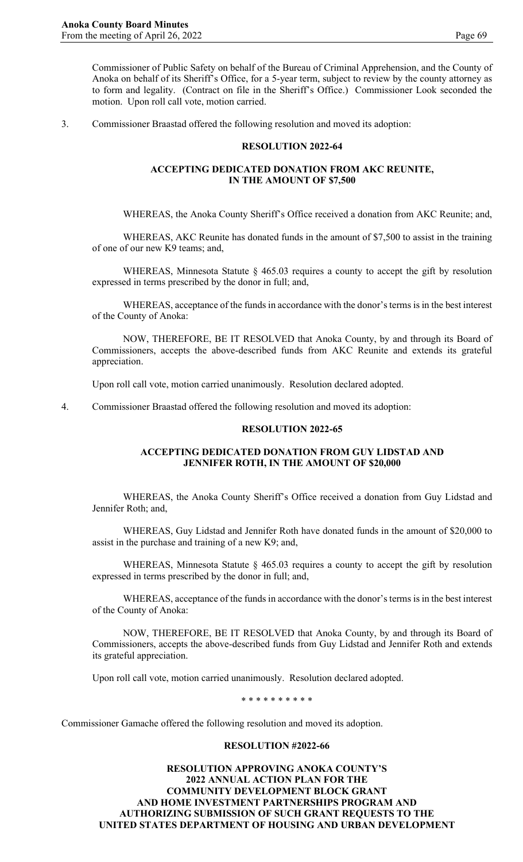3. Commissioner Braastad offered the following resolution and moved its adoption:

### **RESOLUTION 2022-64**

### **ACCEPTING DEDICATED DONATION FROM AKC REUNITE, IN THE AMOUNT OF \$7,500**

WHEREAS, the Anoka County Sheriff's Office received a donation from AKC Reunite; and,

WHEREAS, AKC Reunite has donated funds in the amount of \$7,500 to assist in the training of one of our new K9 teams; and,

WHEREAS, Minnesota Statute § 465.03 requires a county to accept the gift by resolution expressed in terms prescribed by the donor in full; and,

WHEREAS, acceptance of the funds in accordance with the donor's terms is in the best interest of the County of Anoka:

NOW, THEREFORE, BE IT RESOLVED that Anoka County, by and through its Board of Commissioners, accepts the above-described funds from AKC Reunite and extends its grateful appreciation.

Upon roll call vote, motion carried unanimously. Resolution declared adopted.

4. Commissioner Braastad offered the following resolution and moved its adoption:

#### **RESOLUTION 2022-65**

### **ACCEPTING DEDICATED DONATION FROM GUY LIDSTAD AND JENNIFER ROTH, IN THE AMOUNT OF \$20,000**

WHEREAS, the Anoka County Sheriff's Office received a donation from Guy Lidstad and Jennifer Roth; and,

WHEREAS, Guy Lidstad and Jennifer Roth have donated funds in the amount of \$20,000 to assist in the purchase and training of a new K9; and,

WHEREAS, Minnesota Statute § 465.03 requires a county to accept the gift by resolution expressed in terms prescribed by the donor in full; and,

WHEREAS, acceptance of the funds in accordance with the donor's terms is in the best interest of the County of Anoka:

NOW, THEREFORE, BE IT RESOLVED that Anoka County, by and through its Board of Commissioners, accepts the above-described funds from Guy Lidstad and Jennifer Roth and extends its grateful appreciation.

Upon roll call vote, motion carried unanimously. Resolution declared adopted.

\* \* \* \* \* \* \* \* \* \*

Commissioner Gamache offered the following resolution and moved its adoption.

## **RESOLUTION #2022-66**

**RESOLUTION APPROVING ANOKA COUNTY'S 2022 ANNUAL ACTION PLAN FOR THE COMMUNITY DEVELOPMENT BLOCK GRANT AND HOME INVESTMENT PARTNERSHIPS PROGRAM AND AUTHORIZING SUBMISSION OF SUCH GRANT REQUESTS TO THE UNITED STATES DEPARTMENT OF HOUSING AND URBAN DEVELOPMENT**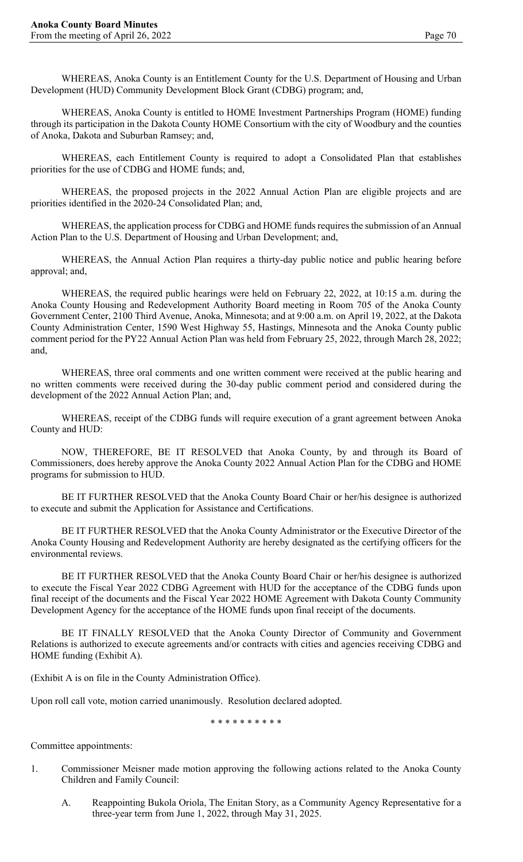WHEREAS, Anoka County is an Entitlement County for the U.S. Department of Housing and Urban Development (HUD) Community Development Block Grant (CDBG) program; and,

WHEREAS, Anoka County is entitled to HOME Investment Partnerships Program (HOME) funding through its participation in the Dakota County HOME Consortium with the city of Woodbury and the counties of Anoka, Dakota and Suburban Ramsey; and,

WHEREAS, each Entitlement County is required to adopt a Consolidated Plan that establishes priorities for the use of CDBG and HOME funds; and,

WHEREAS, the proposed projects in the 2022 Annual Action Plan are eligible projects and are priorities identified in the 2020-24 Consolidated Plan; and,

WHEREAS, the application process for CDBG and HOME funds requires the submission of an Annual Action Plan to the U.S. Department of Housing and Urban Development; and,

WHEREAS, the Annual Action Plan requires a thirty-day public notice and public hearing before approval; and,

WHEREAS, the required public hearings were held on February 22, 2022, at 10:15 a.m. during the Anoka County Housing and Redevelopment Authority Board meeting in Room 705 of the Anoka County Government Center, 2100 Third Avenue, Anoka, Minnesota; and at 9:00 a.m. on April 19, 2022, at the Dakota County Administration Center, 1590 West Highway 55, Hastings, Minnesota and the Anoka County public comment period for the PY22 Annual Action Plan was held from February 25, 2022, through March 28, 2022; and,

WHEREAS, three oral comments and one written comment were received at the public hearing and no written comments were received during the 30-day public comment period and considered during the development of the 2022 Annual Action Plan; and,

WHEREAS, receipt of the CDBG funds will require execution of a grant agreement between Anoka County and HUD:

NOW, THEREFORE, BE IT RESOLVED that Anoka County, by and through its Board of Commissioners, does hereby approve the Anoka County 2022 Annual Action Plan for the CDBG and HOME programs for submission to HUD.

BE IT FURTHER RESOLVED that the Anoka County Board Chair or her/his designee is authorized to execute and submit the Application for Assistance and Certifications.

BE IT FURTHER RESOLVED that the Anoka County Administrator or the Executive Director of the Anoka County Housing and Redevelopment Authority are hereby designated as the certifying officers for the environmental reviews.

BE IT FURTHER RESOLVED that the Anoka County Board Chair or her/his designee is authorized to execute the Fiscal Year 2022 CDBG Agreement with HUD for the acceptance of the CDBG funds upon final receipt of the documents and the Fiscal Year 2022 HOME Agreement with Dakota County Community Development Agency for the acceptance of the HOME funds upon final receipt of the documents.

BE IT FINALLY RESOLVED that the Anoka County Director of Community and Government Relations is authorized to execute agreements and/or contracts with cities and agencies receiving CDBG and HOME funding (Exhibit A).

(Exhibit A is on file in the County Administration Office).

Upon roll call vote, motion carried unanimously. Resolution declared adopted.

\* \* \* \* \* \* \* \* \* \*

Committee appointments:

- 1. Commissioner Meisner made motion approving the following actions related to the Anoka County Children and Family Council:
	- A. Reappointing Bukola Oriola, The Enitan Story, as a Community Agency Representative for a three-year term from June 1, 2022, through May 31, 2025.